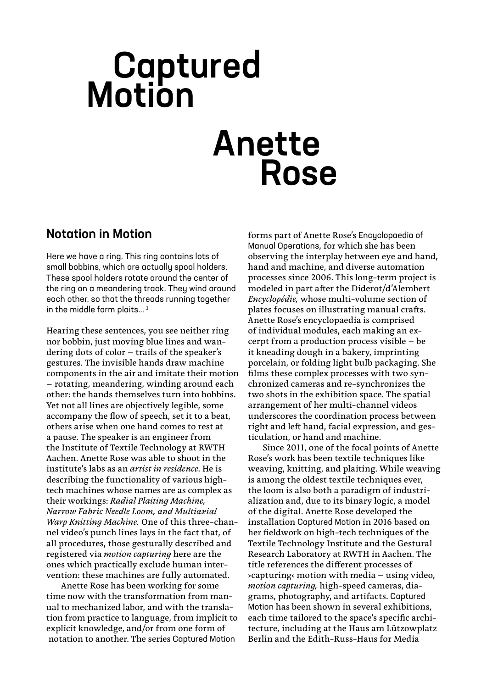## **Captured**<br>Motion

## Anette Rose

## Notation in Motion

Here we have a ring. This ring contains lots of small bobbins, which are actually spool holders. These spool holders rotate around the center of the ring on a meandering track. They wind around each other, so that the threads running together in the middle form plaits...<sup>1</sup>

Hearing these sentences, you see neither ring nor bobbin, just moving blue lines and wandering dots of color – trails of the speaker's gestures. The invisible hands draw machine components in the air and imitate their motion – rotating, meandering, winding around each other: the hands themselves turn into bobbins. Yet not all lines are objectively legible, some accompany the flow of speech, set it to a beat, others arise when one hand comes to rest at a pause. The speaker is an engineer from the Institute of Textile Technology at RWTH Aachen. Anette Rose was able to shoot in the institute's labs as an *artist in residence*. He is describing the functionality of various hightech machines whose names are as complex as their workings: *Radial Plaiting Machine, Narrow Fabric Needle Loom, and Multiaxial Warp Knitting Machine.* One of this three-channel video's punch lines lays in the fact that, of all procedures, those gesturally described and registered via *motion capturing* here are the ones which practically exclude human intervention: these machines are fully automated.

Anette Rose has been working for some time now with the transformation from manual to mechanized labor, and with the translation from practice to language, from implicit to explicit knowledge, and/or from one form of notation to another. The series Captured Motion

forms part of Anette Rose's Encyclopaedia of Manual Operations, for which she has been observing the interplay between eye and hand, hand and machine, and diverse automation processes since 2006. This long-term project is modeled in part after the Diderot/d'Alembert *Encyclopédie,* whose multi-volume section of plates focuses on illustrating manual crafts. Anette Rose's encyclopaedia is comprised of individual modules, each making an excerpt from a production process visible – be it kneading dough in a bakery, imprinting porcelain, or folding light bulb packaging. She films these complex processes with two synchronized cameras and re-synchronizes the two shots in the exhibition space. The spatial arrangement of her multi-channel videos underscores the coordination process between right and left hand, facial expression, and gesticulation, or hand and machine.

Since 2011, one of the focal points of Anette Rose's work has been textile techniques like weaving, knitting, and plaiting. While weaving is among the oldest textile techniques ever, the loom is also both a paradigm of industrialization and, due to its binary logic, a model of the digital. Anette Rose developed the installation Captured Motion in 2016 based on her fieldwork on high-tech techniques of the Textile Technology Institute and the Gestural Research Laboratory at RWTH in Aachen. The title references the different processes of ›capturing‹ motion with media – using video, *motion capturing,* high-speed cameras, diagrams, photography, and artifacts. Captured Motion has been shown in several exhibitions, each time tailored to the space's specific architecture, including at the Haus am Lützowplatz Berlin and the Edith-Russ-Haus for Media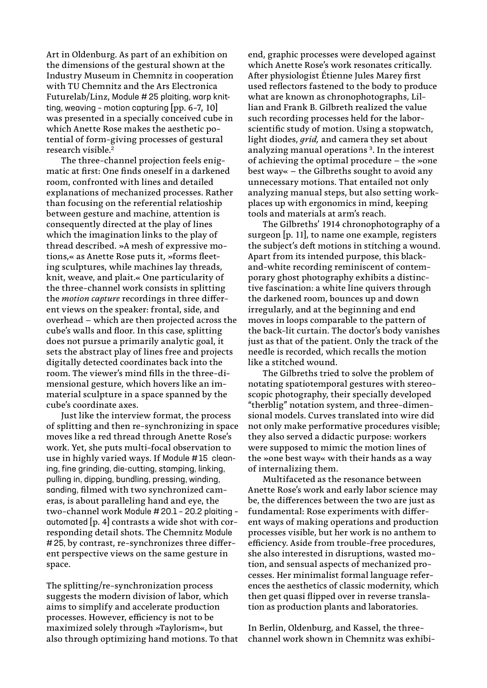Art in Oldenburg. As part of an exhibition on the dimensions of the gestural shown at the Industry Museum in Chemnitz in cooperation with TU Chemnitz and the Ars Electronica Futurelab/Linz, Module # 25 plaiting, warp knitting, weaving - motion capturing  $[pp. 6-7, 10]$ was presented in a specially conceived cube in which Anette Rose makes the aesthetic potential of form-giving processes of gestural research visible.<sup>2</sup>

The three-channel projection feels enigmatic at first: One finds oneself in a darkened room, confronted with lines and detailed explanations of mechanized processes. Rather than focusing on the referential relatioship between gesture and machine, attention is consequently directed at the play of lines which the imagination links to the play of thread described. »A mesh of expressive motions,« as Anette Rose puts it, »forms fleeting sculptures, while machines lay threads, knit, weave, and plait.« One particularity of the three-channel work consists in splitting the *motion capture* recordings in three different views on the speaker: frontal, side, and overhead – which are then projected across the cube's walls and floor. In this case, splitting does not pursue a primarily analytic goal, it sets the abstract play of lines free and projects digitally detected coordinates back into the room. The viewer's mind fills in the three-dimensional gesture, which hovers like an immaterial sculpture in a space spanned by the cube's coordinate axes.

Just like the interview format, the process of splitting and then re-synchronizing in space moves like a red thread through Anette Rose's work. Yet, she puts multi-focal observation to use in highly varied ways. If Module # 15 cleaning, fine grinding, die-cutting, stamping, linking, pulling in, dipping, bundling, pressing, winding, sanding, filmed with two synchronized cameras, is about paralleling hand and eye, the two-channel work Module # 20.1 – 20.2 plaiting – automated [p. 4] contrasts a wide shot with corresponding detail shots. The Chemnitz Module # 25, by contrast, re-synchronizes three different perspective views on the same gesture in space.

The splitting/re-synchronization process suggests the modern division of labor, which aims to simplify and accelerate production processes. However, efficiency is not to be maximized solely through »Taylorism«, but also through optimizing hand motions. To that

end, graphic processes were developed against which Anette Rose's work resonates critically. After physiologist Étienne Jules Marey first used reflectors fastened to the body to produce what are known as chronophotographs, Lillian and Frank B. Gilbreth realized the value such recording processes held for the laborscientific study of motion. Using a stopwatch, light diodes, *grid,* and camera they set about analyzing manual operations<sup>3</sup>. In the interest of achieving the optimal procedure – the »one best way« – the Gilbreths sought to avoid any unnecessary motions. That entailed not only analyzing manual steps, but also setting workplaces up with ergonomics in mind, keeping tools and materials at arm's reach.

The Gilbreths' 1914 chronophotography of a surgeon [p. 11], to name one example, registers the subject's deft motions in stitching a wound. Apart from its intended purpose, this blackand-white recording reminiscent of contemporary ghost photography exhibits a distinctive fascination: a white line quivers through the darkened room, bounces up and down irregularly, and at the beginning and end moves in loops comparable to the pattern of the back-lit curtain. The doctor's body vanishes just as that of the patient. Only the track of the needle is recorded, which recalls the motion like a stitched wound.

The Gilbreths tried to solve the problem of notating spatiotemporal gestures with stereoscopic photography, their specially developed "therblig" notation system, and three-dimensional models. Curves translated into wire did not only make performative procedures visible; they also served a didactic purpose: workers were supposed to mimic the motion lines of the »one best way« with their hands as a way of internalizing them.

Multifaceted as the resonance between Anette Rose's work and early labor science may be, the differences between the two are just as fundamental: Rose experiments with different ways of making operations and production processes visible, but her work is no anthem to efficiency. Aside from trouble-free procedures, she also interested in disruptions, wasted motion, and sensual aspects of mechanized processes. Her minimalist formal language references the aesthetics of classic modernity, which then get quasi flipped over in reverse translation as production plants and laboratories.

In Berlin, Oldenburg, and Kassel, the threechannel work shown in Chemnitz was exhibi-